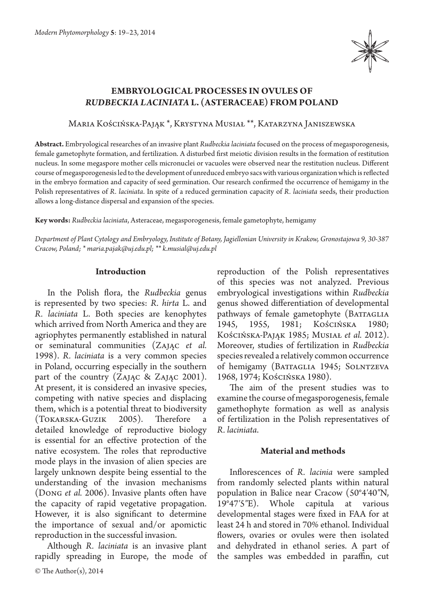

# **EMBRYOLOGICAL PROCESSES IN OVULES OF**  *RUDBECKIA LACINIATA* **L. (ASTERACEAE) FROM POLAND**

Maria Kościńska-Pająk \*, Krystyna Musiał \*\*, Katarzyna Janiszewska

**Abstract.** Embryological researches of an invasive plant *Rudbeckia laciniata* focused on the process of megasporogenesis, female gametophyte formation, and fertilization. A disturbed first meiotic division results in the formation of restitution nucleus. In some megaspore mother cells micronuclei or vacuoles were observed near the restitution nucleus. Different course of megasporogenesis led to the development of unreduced embryo sacs with various organization which is reflected in the embryo formation and capacity of seed germination. Our research confirmed the occurrence of hemigamy in the Polish representatives of *R. laciniata*. In spite of a reduced germination capacity of *R. laciniata* seeds, their production allows a long-distance dispersal and expansion of the species.

**Key words:** *Rudbeckia laciniata*, Asteraceae, megasporogenesis, female gametophyte, hemigamy

*Department of Plant Cytology and Embryology, Institute of Botany, Jagiellonian University in Krakow, Gronostajowa 9, 30-387 Cracow, Poland; \* maria.pajak@uj.edu.pl; \*\* k.musial@uj.edu.pl*

### **Introduction**

In the Polish flora, the *Rudbeckia* genus is represented by two species: *R. hirta* L. and *R. laciniata* L. Both species are kenophytes which arrived from North America and they are agriophytes permanently established in natural or seminatural communities (Zając *et al.*  1998). *R. laciniata* is a very common species in Poland, occurring especially in the southern part of the country (Zając & Zając 2001). At present, it is considered an invasive species, competing with native species and displacing them, which is a potential threat to biodiversity (Tokarska‑Guzik 2005). Therefore a detailed knowledge of reproductive biology is essential for an effective protection of the native ecosystem. The roles that reproductive mode plays in the invasion of alien species are largely unknown despite being essential to the understanding of the invasion mechanisms (Dong *et al.* 2006). Invasive plants often have the capacity of rapid vegetative propagation. However, it is also significant to determine the importance of sexual and/or apomictic reproduction in the successful invasion.

Although *R. laciniata* is an invasive plant rapidly spreading in Europe, the mode of

© The Author(s), 2014

reproduction of the Polish representatives of this species was not analyzed. Previous embryological investigations within *Rudbeckia* genus showed differentiation of developmental pathways of female gametophyte (BATTAGLIA 1945, 1955, 1981; Kościńska 1980; Kościńska-Pająk 1985; Musiał *et al.* 2012). Moreover, studies of fertilization in *Rudbeckia* species revealed a relatively common occurrence of hemigamy (BATTAGLIA 1945; SOLNTZEVA 1968, 1974; Kościńska 1980).

The aim of the present studies was to examine the course of megasporogenesis, female gamethophyte formation as well as analysis of fertilization in the Polish representatives of *R. laciniata*.

#### **Material and methods**

Inflorescences of *R. lacinia* were sampled from randomly selected plants within natural population in Balice near Cracow (50°4′40″N, 19°47′5″E). Whole capitula at various developmental stages were fixed in FAA for at least 24 h and stored in 70% ethanol. Individual flowers, ovaries or ovules were then isolated and dehydrated in ethanol series. A part of the samples was embedded in paraffin, cut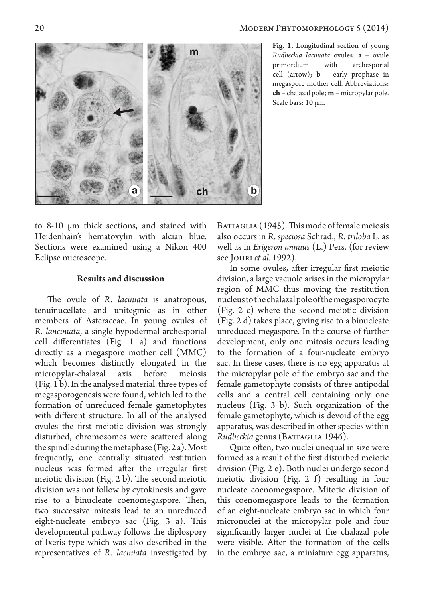

**Fig. 1.** Longitudinal section of young *Rudbeckia laciniata* ovules: **a** – ovule primordium with archesporial cell (arrow); **b** – early prophase in megaspore mother cell. Abbreviations: **ch** – chalazal pole; **m** – micropylar pole. Scale bars: 10 μm.

to 8-10 μm thick sections, and stained with Heidenhain's hematoxylin with alcian blue. Sections were examined using a Nikon 400 Eclipse microscope.

# **Results and discussion**

The ovule of *R. laciniata* is anatropous, tenuinucellate and unitegmic as in other members of Asteraceae. In young ovules of *R. lanciniata*, a single hypodermal archesporial cell differentiates (Fig. 1 a) and functions directly as a megaspore mother cell (MMC) which becomes distinctly elongated in the micropylar-chalazal axis before meiosis (Fig. 1 b). In the analysed material, three types of megasporogenesis were found, which led to the formation of unreduced female gametophytes with different structure. In all of the analysed ovules the first meiotic division was strongly disturbed, chromosomes were scattered along the spindle during the metaphase (Fig. 2 a). Most frequently, one centrally situated restitution nucleus was formed after the irregular first meiotic division (Fig. 2 b). The second meiotic division was not follow by cytokinesis and gave rise to a binucleate coenomegaspore. Then, two successive mitosis lead to an unreduced eight-nucleate embryo sac (Fig. 3 a). This developmental pathway follows the diplospory of Ixeris type which was also described in the representatives of *R. laciniata* investigated by BATTAGLIA (1945). This mode of female meiosis also occurs in *R. speciosa* Schrad., *R. triloba* L. as well as in *Erigeron annuus* (L.) Pers. (for review see Johri *et al.* 1992).

In some ovules, after irregular first meiotic division, a large vacuole arises in the micropylar region of MMC thus moving the restitution nucleus to the chalazal pole of the megasporocyte (Fig. 2 c) where the second meiotic division (Fig. 2 d) takes place, giving rise to a binucleate unreduced megaspore. In the course of further development, only one mitosis occurs leading to the formation of a four-nucleate embryo sac. In these cases, there is no egg apparatus at the micropylar pole of the embryo sac and the female gametophyte consists of three antipodal cells and a central cell containing only one nucleus (Fig. 3 b). Such organization of the female gametophyte, which is devoid of the egg apparatus, was described in other species within *Rudbeckia* genus (BATTAGLIA 1946).

Quite often, two nuclei unequal in size were formed as a result of the first disturbed meiotic division (Fig. 2 e). Both nuclei undergo second meiotic division (Fig. 2 f) resulting in four nucleate coenomegaspore. Mitotic division of this coenomegaspore leads to the formation of an eight-nucleate embryo sac in which four micronuclei at the micropylar pole and four significantly larger nuclei at the chalazal pole were visible. After the formation of the cells in the embryo sac, a miniature egg apparatus,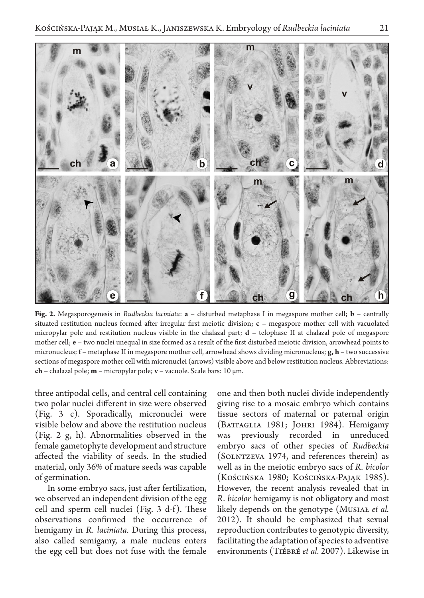

**Fig. 2.** Megasporogenesis in *Rudbeckia laciniata*: **a** – disturbed metaphase I in megaspore mother cell; **b** – centrally situated restitution nucleus formed after irregular first meiotic division; **c** – megaspore mother cell with vacuolated micropylar pole and restitution nucleus visible in the chalazal part; **d** – telophase II at chalazal pole of megaspore mother cell; **e** – two nuclei unequal in size formed as a result of the first disturbed meiotic division, arrowhead points to micronucleus; **f** – metaphase II in megaspore mother cell, arrowhead shows dividing micronucleus; **g, h** – two successive sections of megaspore mother cell with micronuclei (arrows) visible above and below restitution nucleus. Abbreviations: **ch** – chalazal pole; **m** – micropylar pole; **v** – vacuole. Scale bars: 10 μm.

three antipodal cells, and central cell containing two polar nuclei different in size were observed (Fig. 3 c). Sporadically, micronuclei were visible below and above the restitution nucleus (Fig. 2 g, h). Abnormalities observed in the female gametophyte development and structure affected the viability of seeds. In the studied material, only 36% of mature seeds was capable of germination.

In some embryo sacs, just after fertilization, we observed an independent division of the egg cell and sperm cell nuclei (Fig. 3 d-f). These observations confirmed the occurrence of hemigamy in *R. laciniata.* During this process, also called semigamy, a male nucleus enters the egg cell but does not fuse with the female

one and then both nuclei divide independently giving rise to a mosaic embryo which contains tissue sectors of maternal or paternal origin (BATTAGLIA 1981; JOHRI 1984). Hemigamy was previously recorded in unreduced embryo sacs of other species of *Rudbeckia* (Solntzeva 1974, and references therein) as well as in the meiotic embryo sacs of *R. bicolor*  (Kościńska 1980; Kościńska-Pająk 1985). However, the recent analysis revealed that in *R. bicolor* hemigamy is not obligatory and most likely depends on the genotype (Musia*l et al.*) 2012). It should be emphasized that sexual reproduction contributes to genotypic diversity, facilitating the adaptation of species to adventive environments (Tiébré *et al.* 2007). Likewise in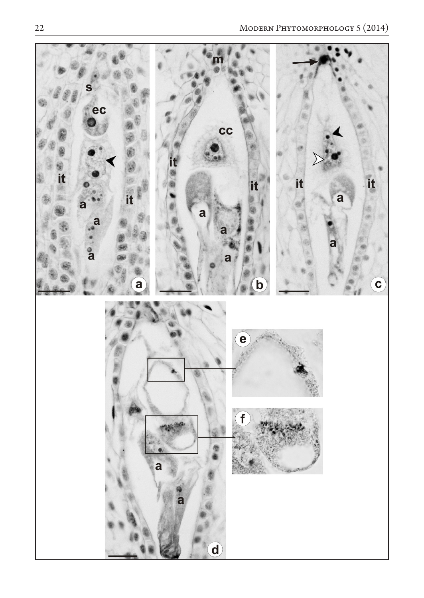